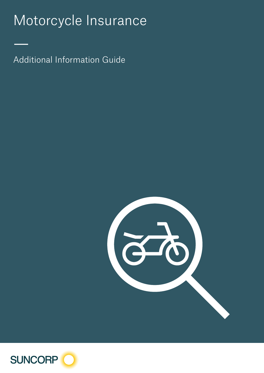# Motorcycle Insurance

Additional Information Guide

—



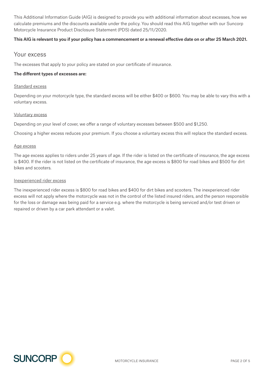This Additional Information Guide (AIG) is designed to provide you with additional information about excesses, how we calculate premiums and the discounts available under the policy. You should read this AIG together with our Suncorp Motorcycle Insurance Product Disclosure Statement (PDS) dated 25/11/2020.

## This AIG is relevant to you if your policy has a commencement or a renewal effective date on or after 25 March 2021.

## Your excess

The excesses that apply to your policy are stated on your certificate of insurance.

## The different types of excesses are:

#### Standard excess

Depending on your motorcycle type, the standard excess will be either \$400 or \$600. You may be able to vary this with a voluntary excess.

## Voluntary excess

Depending on your level of cover, we offer a range of voluntary excesses between \$500 and \$1,250.

Choosing a higher excess reduces your premium. If you choose a voluntary excess this will replace the standard excess.

## Age excess

The age excess applies to riders under 25 years of age. If the rider is listed on the certificate of insurance, the age excess is \$400. If the rider is not listed on the certificate of insurance, the age excess is \$800 for road bikes and \$500 for dirt bikes and scooters.

## Inexperienced rider excess

The inexperienced rider excess is \$800 for road bikes and \$400 for dirt bikes and scooters. The inexperienced rider excess will not apply where the motorcycle was not in the control of the listed insured riders, and the person responsible for the loss or damage was being paid for a service e.g. where the motorcycle is being serviced and/or test driven or repaired or driven by a car park attendant or a valet.

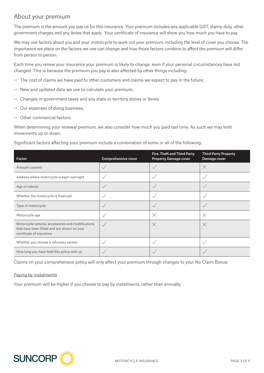## About your premium

The premium is the amount you pay us for this insurance. Your premium includes any applicable GST, stamp duty, other government charges and any levies that apply. Your certificate of insurance will show you how much you have to pay.

We may use factors about you and your motorcycle to work out your premium, including the level of cover you choose. The importance we place on the factors we use can change and how those factors combine to affect the premium will differ from person to person.

Each time you renew your insurance your premium is likely to change, even if your personal circumstances have not changed. This is because the premium you pay is also affected by other things including:

- The cost of claims we have paid to other customers and claims we expect to pay in the future;
- New and updated data we use to calculate your premium;
- Changes in government taxes and any state or territory duties or levies;
- Our expenses of doing business;
- Other commercial factors.

When determining your renewal premium, we also consider how much you paid last time. As such we may limit movements up or down.

Significant factors affecting your premium include a combination of some or all of the following:

| Factor                                                                                                                       | <b>Comprehensive cover</b> | Fire, Theft and Third Party<br><b>Property Damage cover</b> | <b>Third Party Property</b><br>Damage cover |
|------------------------------------------------------------------------------------------------------------------------------|----------------------------|-------------------------------------------------------------|---------------------------------------------|
| Amount covered                                                                                                               | $\checkmark$               | $\checkmark$                                                | $\times$                                    |
| Address where motorcycle is kept overnight                                                                                   | $\checkmark$               | $\checkmark$                                                |                                             |
| Age of rider(s)                                                                                                              | $\checkmark$               |                                                             |                                             |
| Whether the motorcycle is financed                                                                                           | $\checkmark$               | $\checkmark$                                                | $\checkmark$                                |
| Type of motorcycle                                                                                                           | $\checkmark$               | $\checkmark$                                                | $\checkmark$                                |
| Motorcycle age                                                                                                               | $\checkmark$               | $\times$                                                    | $\times$                                    |
| Motorcycle options, accessories and modifications<br>that have been fitted and are shown on your<br>certificate of insurance | $\sqrt{}$                  | $\times$                                                    | $\times$                                    |
| Whether you choose a voluntary excess                                                                                        | $\checkmark$               | $\checkmark$                                                | $\checkmark$                                |
| How long you have held this policy with us                                                                                   | $\checkmark$               |                                                             |                                             |

Claims on your comprehensive policy will only affect your premium through changes to your No Claim Bonus.

## Paying by instalments

Your premium will be higher if you choose to pay by instalments, rather than annually.

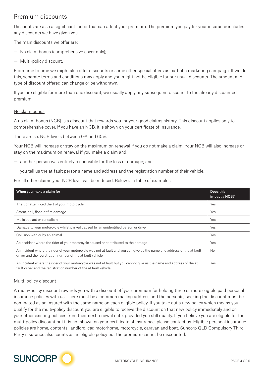## Premium discounts

Discounts are also a significant factor that can affect your premium. The premium you pay for your insurance includes any discounts we have given you.

The main discounts we offer are:

- No claim bonus (comprehensive cover only);
- Multi-policy discount.

From time to time we might also offer discounts or some other special offers as part of a marketing campaign. If we do this, separate terms and conditions may apply and you might not be eligible for our usual discounts. The amount and type of discount offered can change or be withdrawn.

If you are eligible for more than one discount, we usually apply any subsequent discount to the already discounted premium.

## No claim bonus

A no claim bonus (NCB) is a discount that rewards you for your good claims history. This discount applies only to comprehensive cover. If you have an NCB, it is shown on your certificate of insurance.

There are six NCB levels between 0% and 60%.

Your NCB will increase or stay on the maximum on renewal if you do not make a claim. Your NCB will also increase or stay on the maximum on renewal if you make a claim and:

- another person was entirely responsible for the loss or damage; and
- you tell us the at-fault person's name and address and the registration number of their vehicle.

For all other claims your NCB level will be reduced. Below is a table of examples.

| When you make a claim for                                                                                                                                                                 | Does this<br>impact a NCB? |
|-------------------------------------------------------------------------------------------------------------------------------------------------------------------------------------------|----------------------------|
| Theft or attempted theft of your motorcycle                                                                                                                                               | Yes                        |
| Storm, hail, flood or fire damage                                                                                                                                                         | Yes                        |
| Malicious act or vandalism                                                                                                                                                                | Yes                        |
| Damage to your motorcycle whilst parked caused by an unidentified person or driver                                                                                                        | Yes                        |
| Collision with or by an animal                                                                                                                                                            | Yes                        |
| An accident where the rider of your motorcycle caused or contributed to the damage                                                                                                        | Yes                        |
| An incident where the rider of your motorcycle was not at fault and you can give us the name and address of the at fault<br>driver and the registration number of the at fault vehicle    | <b>No</b>                  |
| An incident where the rider of your motorcycle was not at fault but you cannot give us the name and address of the at<br>fault driver and the registration number of the at fault vehicle | Yes                        |

## Multi–policy discount

A multi–policy discount rewards you with a discount off your premium for holding three or more eligible paid personal insurance policies with us. There must be a common mailing address and the person(s) seeking the discount must be nominated as an insured with the same name on each eligible policy. If you take out a new policy which means you qualify for the multi-policy discount you are eligible to receive the discount on that new policy immediately and on your other existing policies from their next renewal date, provided you still qualify. If you believe you are eligible for the multi-policy discount but it is not shown on your certificate of insurance, please contact us. Eligible personal insurance policies are home, contents, landlord, car, motorhome, motorcycle, caravan and boat. Suncorp QLD Compulsory Third Party insurance also counts as an eligible policy but the premium cannot be discounted.